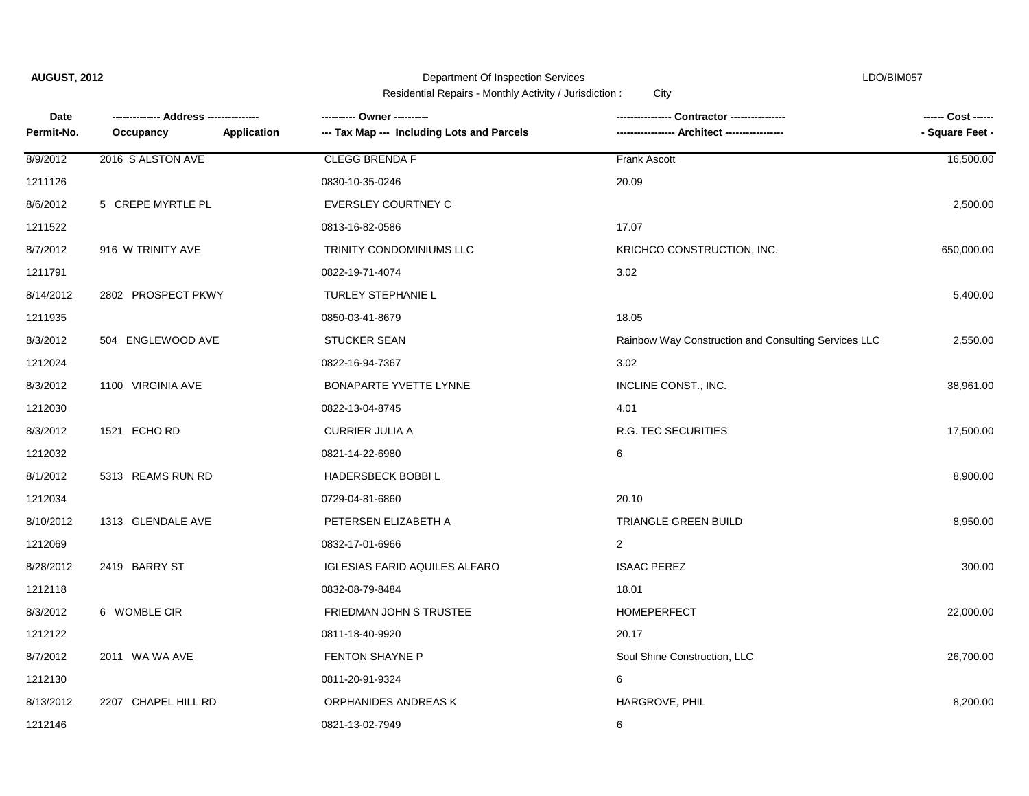Department Of Inspection Services **LDO/BIM057** 

| Date       | ---- Address --------------- | ---------- Owner ----------                | Contractor ----------------                          | ------ Cost ------ |
|------------|------------------------------|--------------------------------------------|------------------------------------------------------|--------------------|
| Permit-No. | Occupancy<br>Application     | --- Tax Map --- Including Lots and Parcels |                                                      | - Square Feet -    |
| 8/9/2012   | 2016 S ALSTON AVE            | <b>CLEGG BRENDA F</b>                      | Frank Ascott                                         | 16,500.00          |
| 1211126    |                              | 0830-10-35-0246                            | 20.09                                                |                    |
| 8/6/2012   | 5 CREPE MYRTLE PL            | EVERSLEY COURTNEY C                        |                                                      | 2,500.00           |
| 1211522    |                              | 0813-16-82-0586                            | 17.07                                                |                    |
| 8/7/2012   | 916 W TRINITY AVE            | TRINITY CONDOMINIUMS LLC                   | KRICHCO CONSTRUCTION, INC.                           | 650,000.00         |
| 1211791    |                              | 0822-19-71-4074                            | 3.02                                                 |                    |
| 8/14/2012  | 2802 PROSPECT PKWY           | <b>TURLEY STEPHANIE L</b>                  |                                                      | 5,400.00           |
| 1211935    |                              | 0850-03-41-8679                            | 18.05                                                |                    |
| 8/3/2012   | 504 ENGLEWOOD AVE            | <b>STUCKER SEAN</b>                        | Rainbow Way Construction and Consulting Services LLC | 2,550.00           |
| 1212024    |                              | 0822-16-94-7367                            | 3.02                                                 |                    |
| 8/3/2012   | 1100 VIRGINIA AVE            | BONAPARTE YVETTE LYNNE                     | INCLINE CONST., INC.                                 | 38,961.00          |
| 1212030    |                              | 0822-13-04-8745                            | 4.01                                                 |                    |
| 8/3/2012   | 1521 ECHORD                  | <b>CURRIER JULIA A</b>                     | R.G. TEC SECURITIES                                  | 17,500.00          |
| 1212032    |                              | 0821-14-22-6980                            | 6                                                    |                    |
| 8/1/2012   | 5313 REAMS RUN RD            | <b>HADERSBECK BOBBIL</b>                   |                                                      | 8,900.00           |
| 1212034    |                              | 0729-04-81-6860                            | 20.10                                                |                    |
| 8/10/2012  | 1313 GLENDALE AVE            | PETERSEN ELIZABETH A                       | <b>TRIANGLE GREEN BUILD</b>                          | 8,950.00           |
| 1212069    |                              | 0832-17-01-6966                            | $\overline{2}$                                       |                    |
| 8/28/2012  | 2419 BARRY ST                | <b>IGLESIAS FARID AQUILES ALFARO</b>       | <b>ISAAC PEREZ</b>                                   | 300.00             |
| 1212118    |                              | 0832-08-79-8484                            | 18.01                                                |                    |
| 8/3/2012   | 6 WOMBLE CIR                 | FRIEDMAN JOHN S TRUSTEE                    | <b>HOMEPERFECT</b>                                   | 22,000.00          |
| 1212122    |                              | 0811-18-40-9920                            | 20.17                                                |                    |
| 8/7/2012   | 2011 WA WA AVE               | <b>FENTON SHAYNE P</b>                     | Soul Shine Construction, LLC                         | 26,700.00          |
| 1212130    |                              | 0811-20-91-9324                            | 6                                                    |                    |
| 8/13/2012  | 2207 CHAPEL HILL RD          | ORPHANIDES ANDREAS K                       | HARGROVE, PHIL                                       | 8,200.00           |
| 1212146    |                              | 0821-13-02-7949                            | 6                                                    |                    |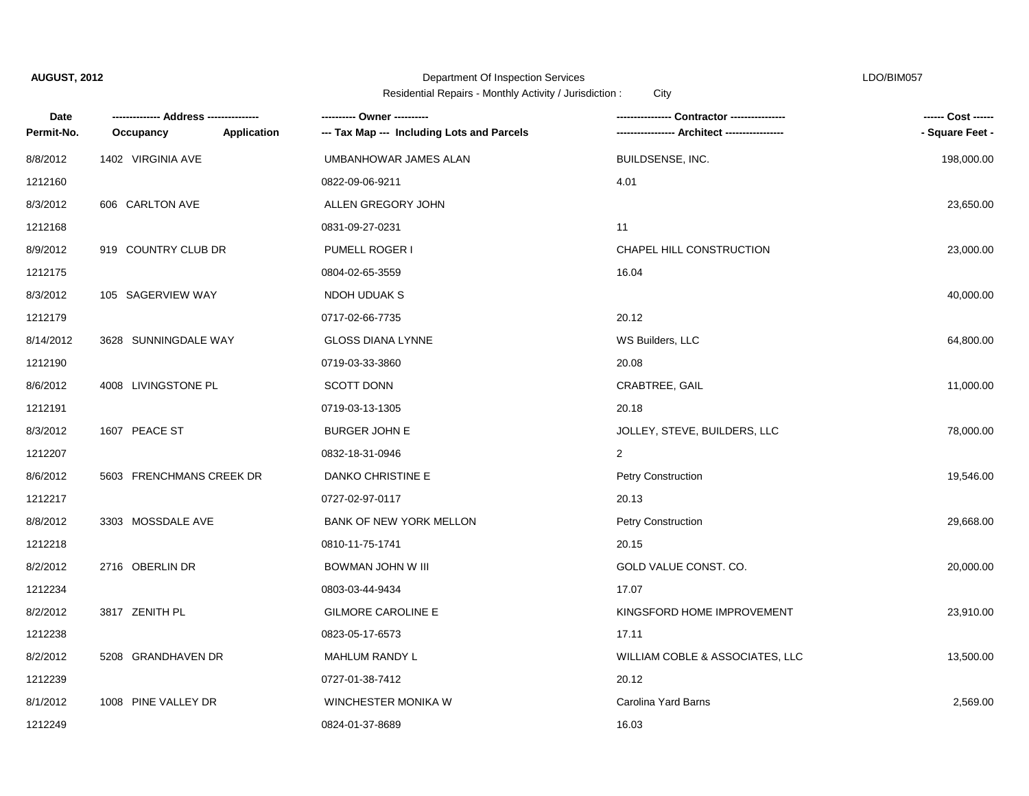### Department Of Inspection Services LDO/BIM057

| Date       |                          |             | ---------- Owner ----------                |                                 | ------ Cost ------ |
|------------|--------------------------|-------------|--------------------------------------------|---------------------------------|--------------------|
| Permit-No. | Occupancy                | Application | --- Tax Map --- Including Lots and Parcels | --- Architect ---               | - Square Feet -    |
| 8/8/2012   | 1402 VIRGINIA AVE        |             | UMBANHOWAR JAMES ALAN                      | BUILDSENSE, INC.                | 198,000.00         |
| 1212160    |                          |             | 0822-09-06-9211                            | 4.01                            |                    |
| 8/3/2012   | 606 CARLTON AVE          |             | ALLEN GREGORY JOHN                         |                                 | 23,650.00          |
| 1212168    |                          |             | 0831-09-27-0231                            | 11                              |                    |
| 8/9/2012   | 919 COUNTRY CLUB DR      |             | PUMELL ROGER I                             | CHAPEL HILL CONSTRUCTION        | 23,000.00          |
| 1212175    |                          |             | 0804-02-65-3559                            | 16.04                           |                    |
| 8/3/2012   | 105 SAGERVIEW WAY        |             | NDOH UDUAK S                               |                                 | 40,000.00          |
| 1212179    |                          |             | 0717-02-66-7735                            | 20.12                           |                    |
| 8/14/2012  | 3628 SUNNINGDALE WAY     |             | <b>GLOSS DIANA LYNNE</b>                   | WS Builders, LLC                | 64,800.00          |
| 1212190    |                          |             | 0719-03-33-3860                            | 20.08                           |                    |
| 8/6/2012   | 4008 LIVINGSTONE PL      |             | <b>SCOTT DONN</b>                          | CRABTREE, GAIL                  | 11,000.00          |
| 1212191    |                          |             | 0719-03-13-1305                            | 20.18                           |                    |
| 8/3/2012   | 1607 PEACE ST            |             | <b>BURGER JOHN E</b>                       | JOLLEY, STEVE, BUILDERS, LLC    | 78,000.00          |
| 1212207    |                          |             | 0832-18-31-0946                            | $\overline{2}$                  |                    |
| 8/6/2012   | 5603 FRENCHMANS CREEK DR |             | DANKO CHRISTINE E                          | <b>Petry Construction</b>       | 19,546.00          |
| 1212217    |                          |             | 0727-02-97-0117                            | 20.13                           |                    |
| 8/8/2012   | 3303 MOSSDALE AVE        |             | <b>BANK OF NEW YORK MELLON</b>             | Petry Construction              | 29,668.00          |
| 1212218    |                          |             | 0810-11-75-1741                            | 20.15                           |                    |
| 8/2/2012   | 2716 OBERLIN DR          |             | BOWMAN JOHN W III                          | GOLD VALUE CONST. CO.           | 20,000.00          |
| 1212234    |                          |             | 0803-03-44-9434                            | 17.07                           |                    |
| 8/2/2012   | 3817 ZENITH PL           |             | <b>GILMORE CAROLINE E</b>                  | KINGSFORD HOME IMPROVEMENT      | 23,910.00          |
| 1212238    |                          |             | 0823-05-17-6573                            | 17.11                           |                    |
| 8/2/2012   | 5208 GRANDHAVEN DR       |             | MAHLUM RANDY L                             | WILLIAM COBLE & ASSOCIATES, LLC | 13,500.00          |
| 1212239    |                          |             | 0727-01-38-7412                            | 20.12                           |                    |
| 8/1/2012   | 1008 PINE VALLEY DR      |             | WINCHESTER MONIKA W                        | Carolina Yard Barns             | 2,569.00           |
| 1212249    |                          |             | 0824-01-37-8689                            | 16.03                           |                    |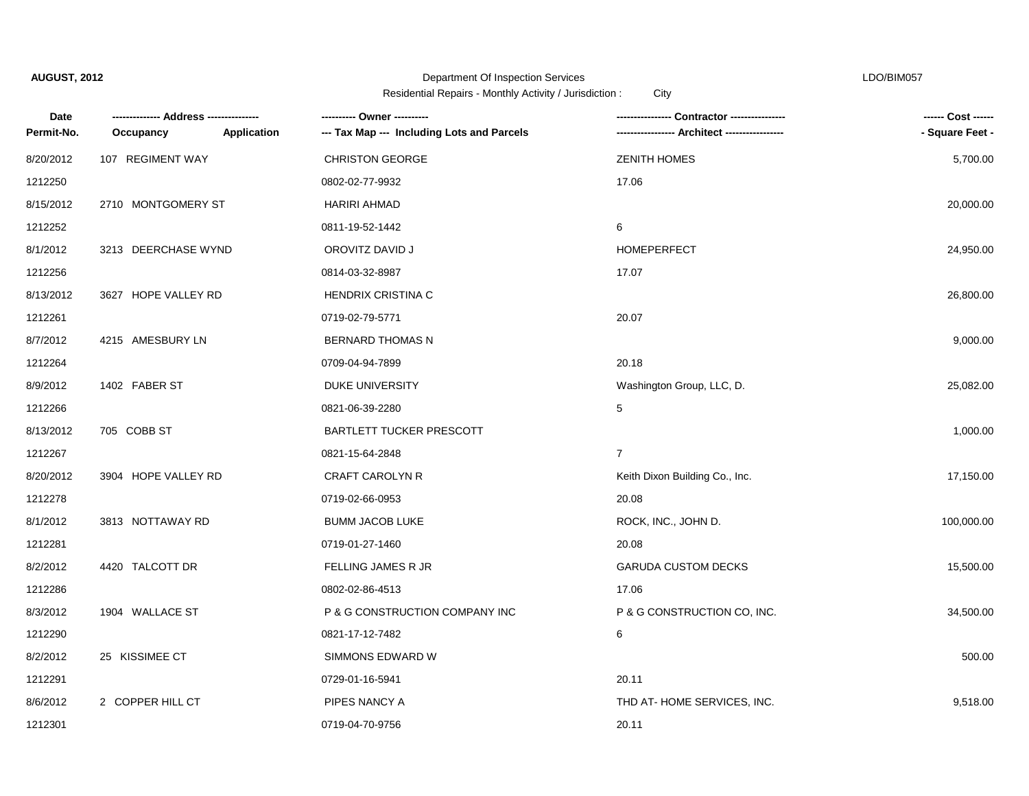### Department Of Inspection Services LDO/BIM057

| Date       |                     |                    | ---------- Owner ----------                |                                | ------ Cost ------ |
|------------|---------------------|--------------------|--------------------------------------------|--------------------------------|--------------------|
| Permit-No. | Occupancy           | <b>Application</b> | --- Tax Map --- Including Lots and Parcels |                                | - Square Feet -    |
| 8/20/2012  | 107 REGIMENT WAY    |                    | <b>CHRISTON GEORGE</b>                     | <b>ZENITH HOMES</b>            | 5,700.00           |
| 1212250    |                     |                    | 0802-02-77-9932                            | 17.06                          |                    |
| 8/15/2012  | 2710 MONTGOMERY ST  |                    | <b>HARIRI AHMAD</b>                        |                                | 20,000.00          |
| 1212252    |                     |                    | 0811-19-52-1442                            | 6                              |                    |
| 8/1/2012   | 3213 DEERCHASE WYND |                    | OROVITZ DAVID J                            | <b>HOMEPERFECT</b>             | 24,950.00          |
| 1212256    |                     |                    | 0814-03-32-8987                            | 17.07                          |                    |
| 8/13/2012  | 3627 HOPE VALLEY RD |                    | <b>HENDRIX CRISTINA C</b>                  |                                | 26,800.00          |
| 1212261    |                     |                    | 0719-02-79-5771                            | 20.07                          |                    |
| 8/7/2012   | 4215 AMESBURY LN    |                    | <b>BERNARD THOMAS N</b>                    |                                | 9,000.00           |
| 1212264    |                     |                    | 0709-04-94-7899                            | 20.18                          |                    |
| 8/9/2012   | 1402 FABER ST       |                    | DUKE UNIVERSITY                            | Washington Group, LLC, D.      | 25,082.00          |
| 1212266    |                     |                    | 0821-06-39-2280                            | 5                              |                    |
| 8/13/2012  | 705 COBB ST         |                    | <b>BARTLETT TUCKER PRESCOTT</b>            |                                | 1,000.00           |
| 1212267    |                     |                    | 0821-15-64-2848                            | $\overline{7}$                 |                    |
| 8/20/2012  | 3904 HOPE VALLEY RD |                    | CRAFT CAROLYN R                            | Keith Dixon Building Co., Inc. | 17,150.00          |
| 1212278    |                     |                    | 0719-02-66-0953                            | 20.08                          |                    |
| 8/1/2012   | 3813 NOTTAWAY RD    |                    | <b>BUMM JACOB LUKE</b>                     | ROCK, INC., JOHN D.            | 100,000.00         |
| 1212281    |                     |                    | 0719-01-27-1460                            | 20.08                          |                    |
| 8/2/2012   | 4420 TALCOTT DR     |                    | FELLING JAMES R JR                         | <b>GARUDA CUSTOM DECKS</b>     | 15,500.00          |
| 1212286    |                     |                    | 0802-02-86-4513                            | 17.06                          |                    |
| 8/3/2012   | 1904 WALLACE ST     |                    | P & G CONSTRUCTION COMPANY INC             | P & G CONSTRUCTION CO, INC.    | 34,500.00          |
| 1212290    |                     |                    | 0821-17-12-7482                            | 6                              |                    |
| 8/2/2012   | 25 KISSIMEE CT      |                    | SIMMONS EDWARD W                           |                                | 500.00             |
| 1212291    |                     |                    | 0729-01-16-5941                            | 20.11                          |                    |
| 8/6/2012   | 2 COPPER HILL CT    |                    | PIPES NANCY A                              | THD AT-HOME SERVICES, INC.     | 9,518.00           |
| 1212301    |                     |                    | 0719-04-70-9756                            | 20.11                          |                    |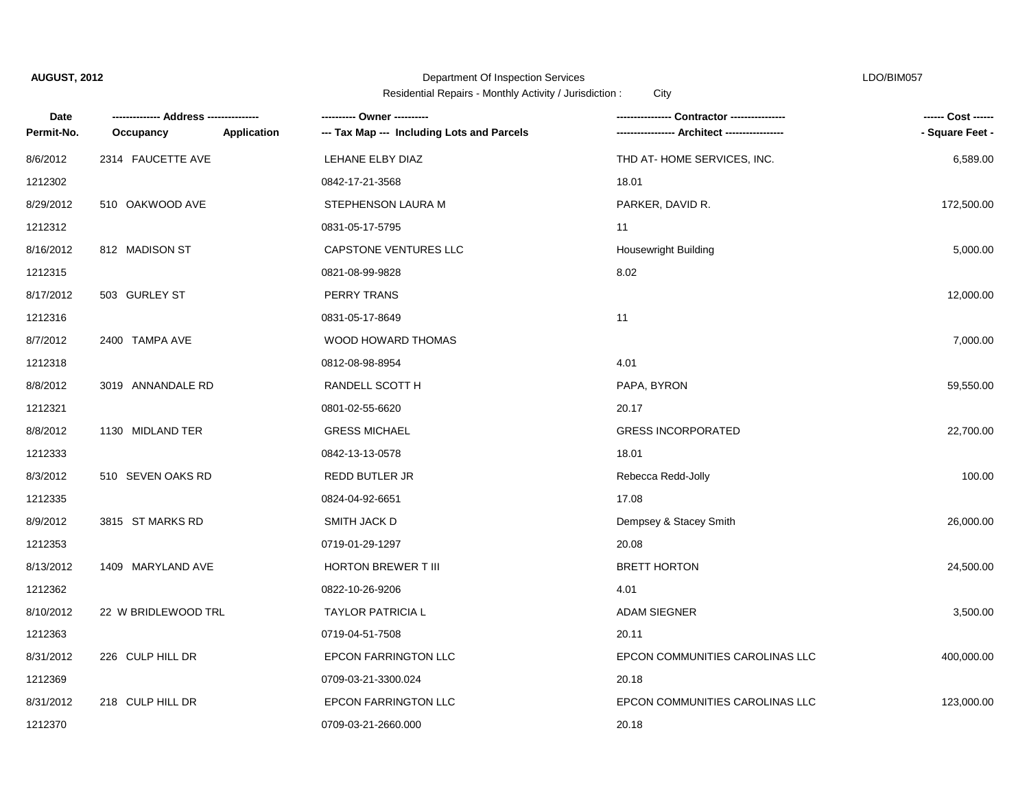### Department Of Inspection Services LDO/BIM057

| Date       |                     |                    | ---------- Owner ----------                |                                 | ------ Cost ------ |
|------------|---------------------|--------------------|--------------------------------------------|---------------------------------|--------------------|
| Permit-No. | Occupancy           | <b>Application</b> | --- Tax Map --- Including Lots and Parcels | --- Architect ----------------- | - Square Feet -    |
| 8/6/2012   | 2314 FAUCETTE AVE   |                    | LEHANE ELBY DIAZ                           | THD AT-HOME SERVICES, INC.      | 6,589.00           |
| 1212302    |                     |                    | 0842-17-21-3568                            | 18.01                           |                    |
| 8/29/2012  | 510 OAKWOOD AVE     |                    | STEPHENSON LAURA M                         | PARKER, DAVID R.                | 172,500.00         |
| 1212312    |                     |                    | 0831-05-17-5795                            | 11                              |                    |
| 8/16/2012  | 812 MADISON ST      |                    | CAPSTONE VENTURES LLC                      | <b>Housewright Building</b>     | 5,000.00           |
| 1212315    |                     |                    | 0821-08-99-9828                            | 8.02                            |                    |
| 8/17/2012  | 503 GURLEY ST       |                    | PERRY TRANS                                |                                 | 12,000.00          |
| 1212316    |                     |                    | 0831-05-17-8649                            | 11                              |                    |
| 8/7/2012   | 2400 TAMPA AVE      |                    | WOOD HOWARD THOMAS                         |                                 | 7,000.00           |
| 1212318    |                     |                    | 0812-08-98-8954                            | 4.01                            |                    |
| 8/8/2012   | 3019 ANNANDALE RD   |                    | RANDELL SCOTT H                            | PAPA, BYRON                     | 59,550.00          |
| 1212321    |                     |                    | 0801-02-55-6620                            | 20.17                           |                    |
| 8/8/2012   | 1130 MIDLAND TER    |                    | <b>GRESS MICHAEL</b>                       | <b>GRESS INCORPORATED</b>       | 22,700.00          |
| 1212333    |                     |                    | 0842-13-13-0578                            | 18.01                           |                    |
| 8/3/2012   | 510 SEVEN OAKS RD   |                    | REDD BUTLER JR                             | Rebecca Redd-Jolly              | 100.00             |
| 1212335    |                     |                    | 0824-04-92-6651                            | 17.08                           |                    |
| 8/9/2012   | 3815 ST MARKS RD    |                    | SMITH JACK D                               | Dempsey & Stacey Smith          | 26,000.00          |
| 1212353    |                     |                    | 0719-01-29-1297                            | 20.08                           |                    |
| 8/13/2012  | 1409 MARYLAND AVE   |                    | <b>HORTON BREWER T III</b>                 | <b>BRETT HORTON</b>             | 24,500.00          |
| 1212362    |                     |                    | 0822-10-26-9206                            | 4.01                            |                    |
| 8/10/2012  | 22 W BRIDLEWOOD TRL |                    | <b>TAYLOR PATRICIA L</b>                   | <b>ADAM SIEGNER</b>             | 3,500.00           |
| 1212363    |                     |                    | 0719-04-51-7508                            | 20.11                           |                    |
| 8/31/2012  | 226 CULP HILL DR    |                    | <b>EPCON FARRINGTON LLC</b>                | EPCON COMMUNITIES CAROLINAS LLC | 400,000.00         |
| 1212369    |                     |                    | 0709-03-21-3300.024                        | 20.18                           |                    |
| 8/31/2012  | 218 CULP HILL DR    |                    | <b>EPCON FARRINGTON LLC</b>                | EPCON COMMUNITIES CAROLINAS LLC | 123,000.00         |
| 1212370    |                     |                    | 0709-03-21-2660.000                        | 20.18                           |                    |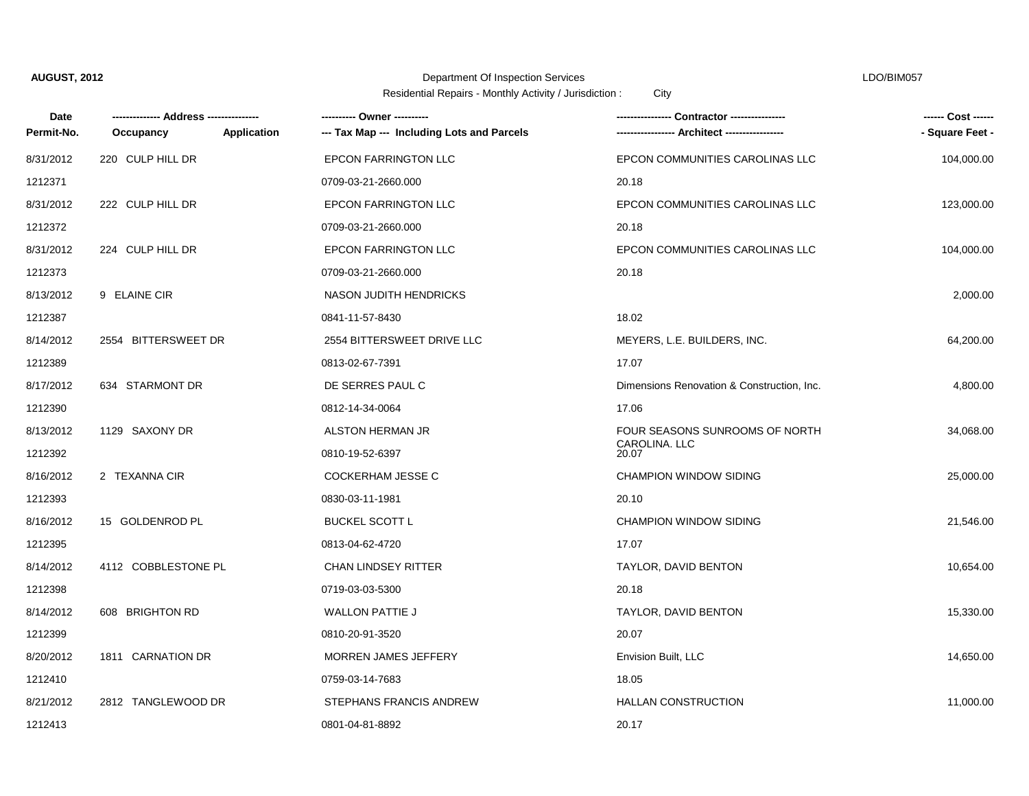### Department Of Inspection Services LDO/BIM057

| Date       |                     |             |                                            | Contractor ---------------                 | ------ Cost ------ |
|------------|---------------------|-------------|--------------------------------------------|--------------------------------------------|--------------------|
| Permit-No. | Occupancy           | Application | --- Tax Map --- Including Lots and Parcels |                                            | - Square Feet -    |
| 8/31/2012  | 220 CULP HILL DR    |             | <b>EPCON FARRINGTON LLC</b>                | EPCON COMMUNITIES CAROLINAS LLC            | 104,000.00         |
| 1212371    |                     |             | 0709-03-21-2660.000                        | 20.18                                      |                    |
| 8/31/2012  | 222 CULP HILL DR    |             | <b>EPCON FARRINGTON LLC</b>                | EPCON COMMUNITIES CAROLINAS LLC            | 123,000.00         |
| 1212372    |                     |             | 0709-03-21-2660.000                        | 20.18                                      |                    |
| 8/31/2012  | 224 CULP HILL DR    |             | <b>EPCON FARRINGTON LLC</b>                | EPCON COMMUNITIES CAROLINAS LLC            | 104,000.00         |
| 1212373    |                     |             | 0709-03-21-2660.000                        | 20.18                                      |                    |
| 8/13/2012  | 9 ELAINE CIR        |             | NASON JUDITH HENDRICKS                     |                                            | 2,000.00           |
| 1212387    |                     |             | 0841-11-57-8430                            | 18.02                                      |                    |
| 8/14/2012  | 2554 BITTERSWEET DR |             | 2554 BITTERSWEET DRIVE LLC                 | MEYERS, L.E. BUILDERS, INC.                | 64,200.00          |
| 1212389    |                     |             | 0813-02-67-7391                            | 17.07                                      |                    |
| 8/17/2012  | 634 STARMONT DR     |             | DE SERRES PAUL C                           | Dimensions Renovation & Construction, Inc. | 4,800.00           |
| 1212390    |                     |             | 0812-14-34-0064                            | 17.06                                      |                    |
| 8/13/2012  | 1129 SAXONY DR      |             | ALSTON HERMAN JR                           | FOUR SEASONS SUNROOMS OF NORTH             | 34,068.00          |
| 1212392    |                     |             | 0810-19-52-6397                            | CAROLINA. II C<br>20.07                    |                    |
| 8/16/2012  | 2 TEXANNA CIR       |             | <b>COCKERHAM JESSE C</b>                   | <b>CHAMPION WINDOW SIDING</b>              | 25,000.00          |
| 1212393    |                     |             | 0830-03-11-1981                            | 20.10                                      |                    |
| 8/16/2012  | 15 GOLDENROD PL     |             | <b>BUCKEL SCOTT L</b>                      | <b>CHAMPION WINDOW SIDING</b>              | 21,546.00          |
| 1212395    |                     |             | 0813-04-62-4720                            | 17.07                                      |                    |
| 8/14/2012  | 4112 COBBLESTONE PL |             | <b>CHAN LINDSEY RITTER</b>                 | TAYLOR, DAVID BENTON                       | 10,654.00          |
| 1212398    |                     |             | 0719-03-03-5300                            | 20.18                                      |                    |
| 8/14/2012  | 608 BRIGHTON RD     |             | <b>WALLON PATTIE J</b>                     | TAYLOR, DAVID BENTON                       | 15,330.00          |
| 1212399    |                     |             | 0810-20-91-3520                            | 20.07                                      |                    |
| 8/20/2012  | 1811 CARNATION DR   |             | <b>MORREN JAMES JEFFERY</b>                | Envision Built, LLC                        | 14,650.00          |
| 1212410    |                     |             | 0759-03-14-7683                            | 18.05                                      |                    |
| 8/21/2012  | 2812 TANGLEWOOD DR  |             | STEPHANS FRANCIS ANDREW                    | <b>HALLAN CONSTRUCTION</b>                 | 11,000.00          |
| 1212413    |                     |             | 0801-04-81-8892                            | 20.17                                      |                    |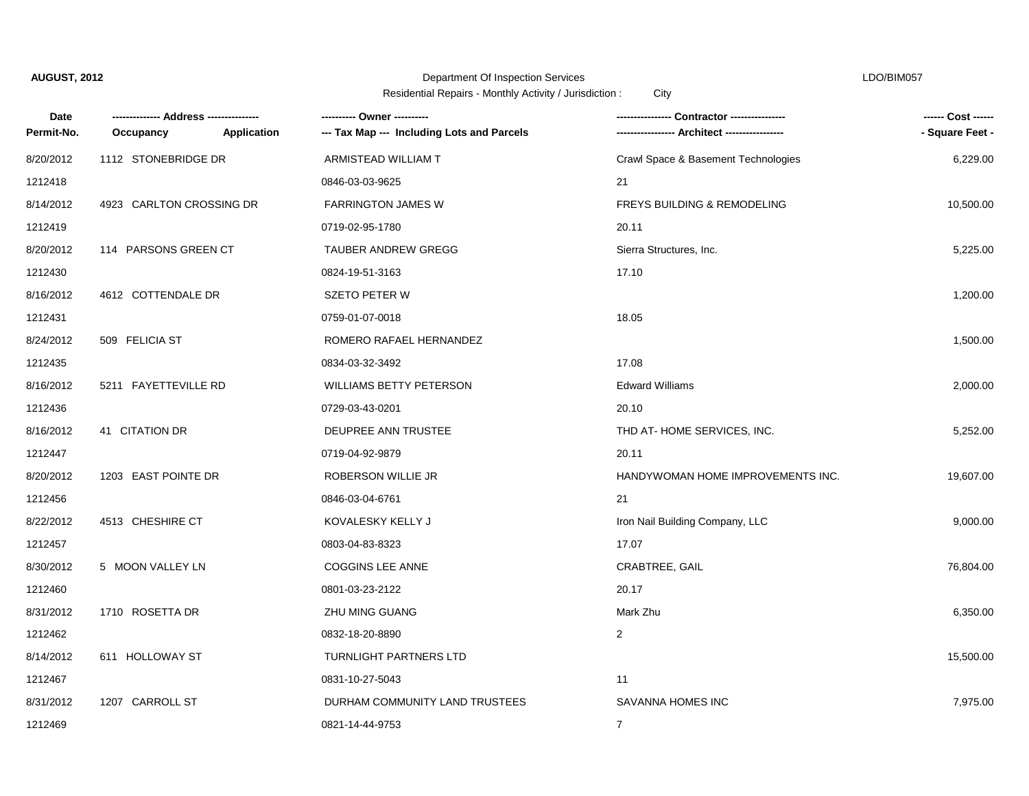### Department Of Inspection Services LDO/BIM057

| Date       | --- Address ---------    |             |                                            |                                     | ------ Cost ------ |
|------------|--------------------------|-------------|--------------------------------------------|-------------------------------------|--------------------|
| Permit-No. | Occupancy                | Application | --- Tax Map --- Including Lots and Parcels |                                     | - Square Feet -    |
| 8/20/2012  | 1112 STONEBRIDGE DR      |             | ARMISTEAD WILLIAM T                        | Crawl Space & Basement Technologies | 6,229.00           |
| 1212418    |                          |             | 0846-03-03-9625                            | 21                                  |                    |
| 8/14/2012  | 4923 CARLTON CROSSING DR |             | <b>FARRINGTON JAMES W</b>                  | FREYS BUILDING & REMODELING         | 10,500.00          |
| 1212419    |                          |             | 0719-02-95-1780                            | 20.11                               |                    |
| 8/20/2012  | 114 PARSONS GREEN CT     |             | TAUBER ANDREW GREGG                        | Sierra Structures, Inc.             | 5,225.00           |
| 1212430    |                          |             | 0824-19-51-3163                            | 17.10                               |                    |
| 8/16/2012  | 4612 COTTENDALE DR       |             | <b>SZETO PETER W</b>                       |                                     | 1,200.00           |
| 1212431    |                          |             | 0759-01-07-0018                            | 18.05                               |                    |
| 8/24/2012  | 509 FELICIA ST           |             | ROMERO RAFAEL HERNANDEZ                    |                                     | 1,500.00           |
| 1212435    |                          |             | 0834-03-32-3492                            | 17.08                               |                    |
| 8/16/2012  | 5211 FAYETTEVILLE RD     |             | <b>WILLIAMS BETTY PETERSON</b>             | <b>Edward Williams</b>              | 2,000.00           |
| 1212436    |                          |             | 0729-03-43-0201                            | 20.10                               |                    |
| 8/16/2012  | 41 CITATION DR           |             | DEUPREE ANN TRUSTEE                        | THD AT-HOME SERVICES, INC.          | 5,252.00           |
| 1212447    |                          |             | 0719-04-92-9879                            | 20.11                               |                    |
| 8/20/2012  | 1203 EAST POINTE DR      |             | ROBERSON WILLIE JR                         | HANDYWOMAN HOME IMPROVEMENTS INC.   | 19,607.00          |
| 1212456    |                          |             | 0846-03-04-6761                            | 21                                  |                    |
| 8/22/2012  | 4513 CHESHIRE CT         |             | KOVALESKY KELLY J                          | Iron Nail Building Company, LLC     | 9,000.00           |
| 1212457    |                          |             | 0803-04-83-8323                            | 17.07                               |                    |
| 8/30/2012  | 5 MOON VALLEY LN         |             | <b>COGGINS LEE ANNE</b>                    | <b>CRABTREE, GAIL</b>               | 76,804.00          |
| 1212460    |                          |             | 0801-03-23-2122                            | 20.17                               |                    |
| 8/31/2012  | 1710 ROSETTA DR          |             | ZHU MING GUANG                             | Mark Zhu                            | 6,350.00           |
| 1212462    |                          |             | 0832-18-20-8890                            | 2                                   |                    |
| 8/14/2012  | 611 HOLLOWAY ST          |             | <b>TURNLIGHT PARTNERS LTD</b>              |                                     | 15,500.00          |
| 1212467    |                          |             | 0831-10-27-5043                            | 11                                  |                    |
| 8/31/2012  | 1207 CARROLL ST          |             | DURHAM COMMUNITY LAND TRUSTEES             | SAVANNA HOMES INC                   | 7,975.00           |
| 1212469    |                          |             | 0821-14-44-9753                            | $\overline{7}$                      |                    |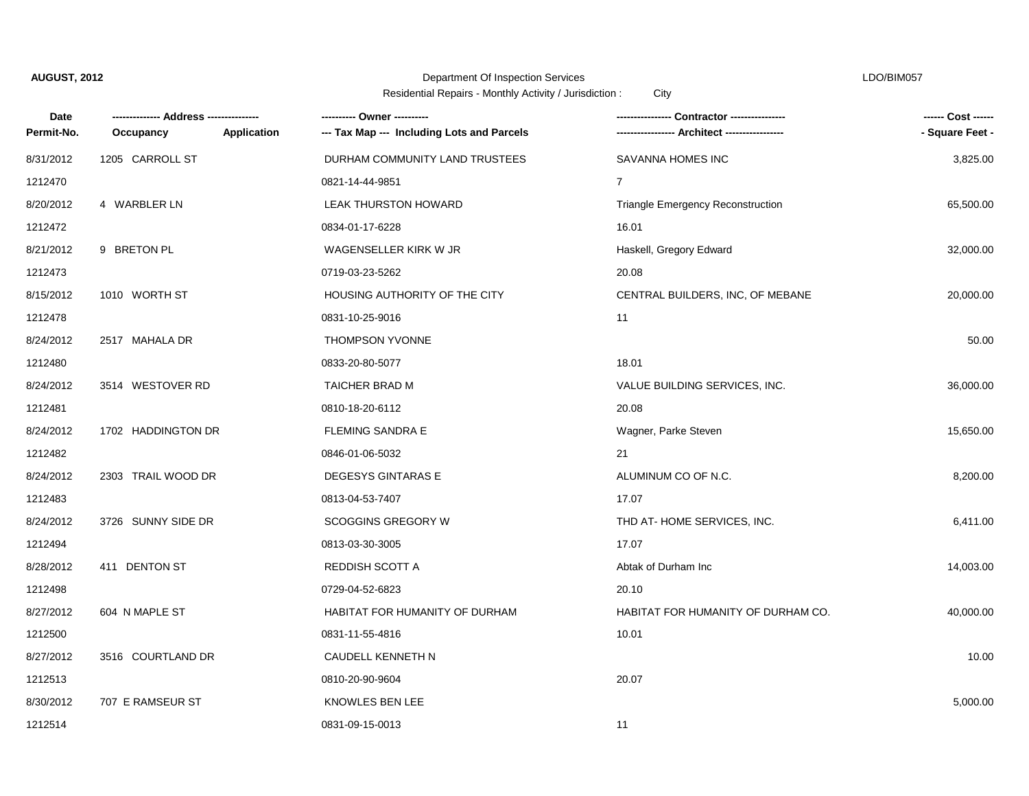# Department Of Inspection Services LDO/BIM057

| Date       |                    |             | ---------- Owner ----------                |                                          | ------ Cost ------ |
|------------|--------------------|-------------|--------------------------------------------|------------------------------------------|--------------------|
| Permit-No. | Occupancy          | Application | --- Tax Map --- Including Lots and Parcels |                                          | - Square Feet -    |
| 8/31/2012  | 1205 CARROLL ST    |             | DURHAM COMMUNITY LAND TRUSTEES             | SAVANNA HOMES INC                        | 3,825.00           |
| 1212470    |                    |             | 0821-14-44-9851                            | $\overline{7}$                           |                    |
| 8/20/2012  | 4 WARBLER LN       |             | LEAK THURSTON HOWARD                       | <b>Triangle Emergency Reconstruction</b> | 65,500.00          |
| 1212472    |                    |             | 0834-01-17-6228                            | 16.01                                    |                    |
| 8/21/2012  | 9 BRETON PL        |             | WAGENSELLER KIRK W JR                      | Haskell, Gregory Edward                  | 32,000.00          |
| 1212473    |                    |             | 0719-03-23-5262                            | 20.08                                    |                    |
| 8/15/2012  | 1010 WORTH ST      |             | HOUSING AUTHORITY OF THE CITY              | CENTRAL BUILDERS, INC, OF MEBANE         | 20,000.00          |
| 1212478    |                    |             | 0831-10-25-9016                            | 11                                       |                    |
| 8/24/2012  | 2517 MAHALA DR     |             | <b>THOMPSON YVONNE</b>                     |                                          | 50.00              |
| 1212480    |                    |             | 0833-20-80-5077                            | 18.01                                    |                    |
| 8/24/2012  | 3514 WESTOVER RD   |             | TAICHER BRAD M                             | VALUE BUILDING SERVICES, INC.            | 36,000.00          |
| 1212481    |                    |             | 0810-18-20-6112                            | 20.08                                    |                    |
| 8/24/2012  | 1702 HADDINGTON DR |             | <b>FLEMING SANDRA E</b>                    | Wagner, Parke Steven                     | 15,650.00          |
| 1212482    |                    |             | 0846-01-06-5032                            | 21                                       |                    |
| 8/24/2012  | 2303 TRAIL WOOD DR |             | <b>DEGESYS GINTARAS E</b>                  | ALUMINUM CO OF N.C.                      | 8,200.00           |
| 1212483    |                    |             | 0813-04-53-7407                            | 17.07                                    |                    |
| 8/24/2012  | 3726 SUNNY SIDE DR |             | <b>SCOGGINS GREGORY W</b>                  | THD AT-HOME SERVICES, INC.               | 6,411.00           |
| 1212494    |                    |             | 0813-03-30-3005                            | 17.07                                    |                    |
| 8/28/2012  | 411 DENTON ST      |             | REDDISH SCOTT A                            | Abtak of Durham Inc                      | 14,003.00          |
| 1212498    |                    |             | 0729-04-52-6823                            | 20.10                                    |                    |
| 8/27/2012  | 604 N MAPLE ST     |             | HABITAT FOR HUMANITY OF DURHAM             | HABITAT FOR HUMANITY OF DURHAM CO.       | 40,000.00          |
| 1212500    |                    |             | 0831-11-55-4816                            | 10.01                                    |                    |
| 8/27/2012  | 3516 COURTLAND DR  |             | CAUDELL KENNETH N                          |                                          | 10.00              |
| 1212513    |                    |             | 0810-20-90-9604                            | 20.07                                    |                    |
| 8/30/2012  | 707 E RAMSEUR ST   |             | KNOWLES BEN LEE                            |                                          | 5,000.00           |
| 1212514    |                    |             | 0831-09-15-0013                            | 11                                       |                    |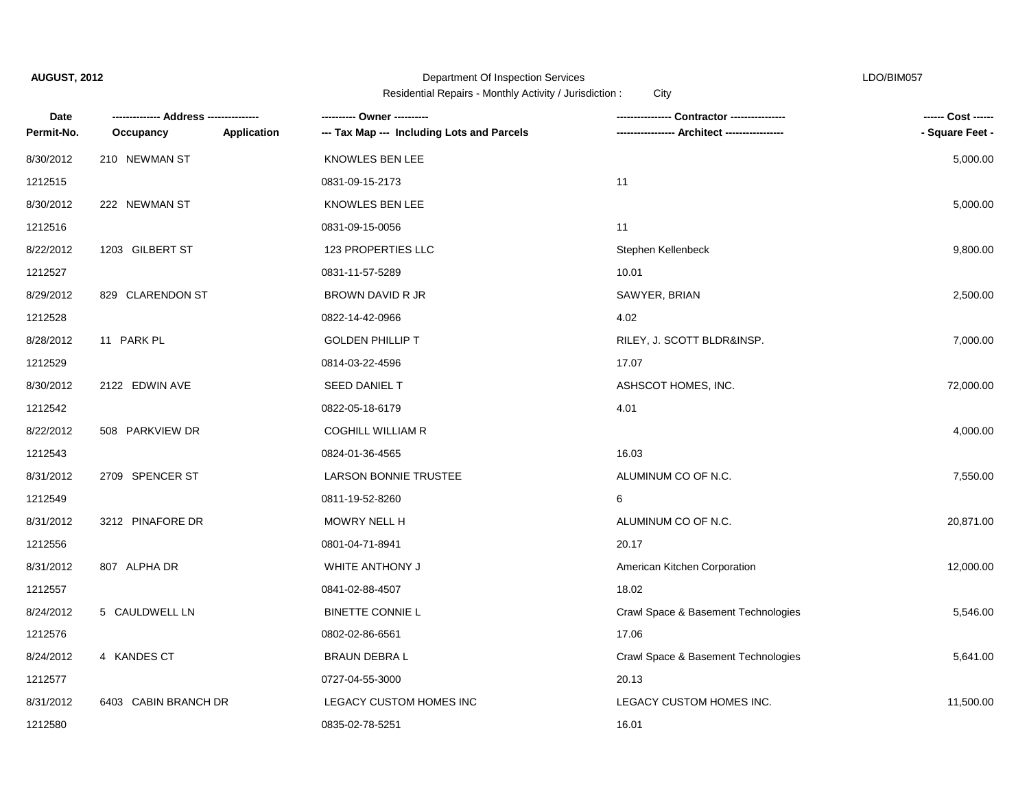# Department Of Inspection Services LDO/BIM057

| Date       |                      |             | ---------- Owner ----------                | Contractor ---------------          | ------ Cost ------ |
|------------|----------------------|-------------|--------------------------------------------|-------------------------------------|--------------------|
| Permit-No. | Occupancy            | Application | --- Tax Map --- Including Lots and Parcels | <b>Architect ----------------</b>   | - Square Feet -    |
| 8/30/2012  | 210 NEWMAN ST        |             | KNOWLES BEN LEE                            |                                     | 5,000.00           |
| 1212515    |                      |             | 0831-09-15-2173                            | 11                                  |                    |
| 8/30/2012  | 222 NEWMAN ST        |             | KNOWLES BEN LEE                            |                                     | 5,000.00           |
| 1212516    |                      |             | 0831-09-15-0056                            | 11                                  |                    |
| 8/22/2012  | 1203 GILBERT ST      |             | 123 PROPERTIES LLC                         | Stephen Kellenbeck                  | 9,800.00           |
| 1212527    |                      |             | 0831-11-57-5289                            | 10.01                               |                    |
| 8/29/2012  | 829 CLARENDON ST     |             | BROWN DAVID R JR                           | SAWYER, BRIAN                       | 2,500.00           |
| 1212528    |                      |             | 0822-14-42-0966                            | 4.02                                |                    |
| 8/28/2012  | 11 PARK PL           |             | <b>GOLDEN PHILLIP T</b>                    | RILEY, J. SCOTT BLDR&INSP.          | 7,000.00           |
| 1212529    |                      |             | 0814-03-22-4596                            | 17.07                               |                    |
| 8/30/2012  | 2122 EDWIN AVE       |             | SEED DANIEL T                              | ASHSCOT HOMES, INC.                 | 72,000.00          |
| 1212542    |                      |             | 0822-05-18-6179                            | 4.01                                |                    |
| 8/22/2012  | 508 PARKVIEW DR      |             | <b>COGHILL WILLIAM R</b>                   |                                     | 4,000.00           |
| 1212543    |                      |             | 0824-01-36-4565                            | 16.03                               |                    |
| 8/31/2012  | 2709 SPENCER ST      |             | <b>LARSON BONNIE TRUSTEE</b>               | ALUMINUM CO OF N.C.                 | 7,550.00           |
| 1212549    |                      |             | 0811-19-52-8260                            | 6                                   |                    |
| 8/31/2012  | 3212 PINAFORE DR     |             | MOWRY NELL H                               | ALUMINUM CO OF N.C.                 | 20,871.00          |
| 1212556    |                      |             | 0801-04-71-8941                            | 20.17                               |                    |
| 8/31/2012  | 807 ALPHA DR         |             | WHITE ANTHONY J                            | American Kitchen Corporation        | 12,000.00          |
| 1212557    |                      |             | 0841-02-88-4507                            | 18.02                               |                    |
| 8/24/2012  | 5 CAULDWELL LN       |             | <b>BINETTE CONNIE L</b>                    | Crawl Space & Basement Technologies | 5,546.00           |
| 1212576    |                      |             | 0802-02-86-6561                            | 17.06                               |                    |
| 8/24/2012  | 4 KANDES CT          |             | <b>BRAUN DEBRAL</b>                        | Crawl Space & Basement Technologies | 5,641.00           |
| 1212577    |                      |             | 0727-04-55-3000                            | 20.13                               |                    |
| 8/31/2012  | 6403 CABIN BRANCH DR |             | LEGACY CUSTOM HOMES INC                    | LEGACY CUSTOM HOMES INC.            | 11,500.00          |
| 1212580    |                      |             | 0835-02-78-5251                            | 16.01                               |                    |